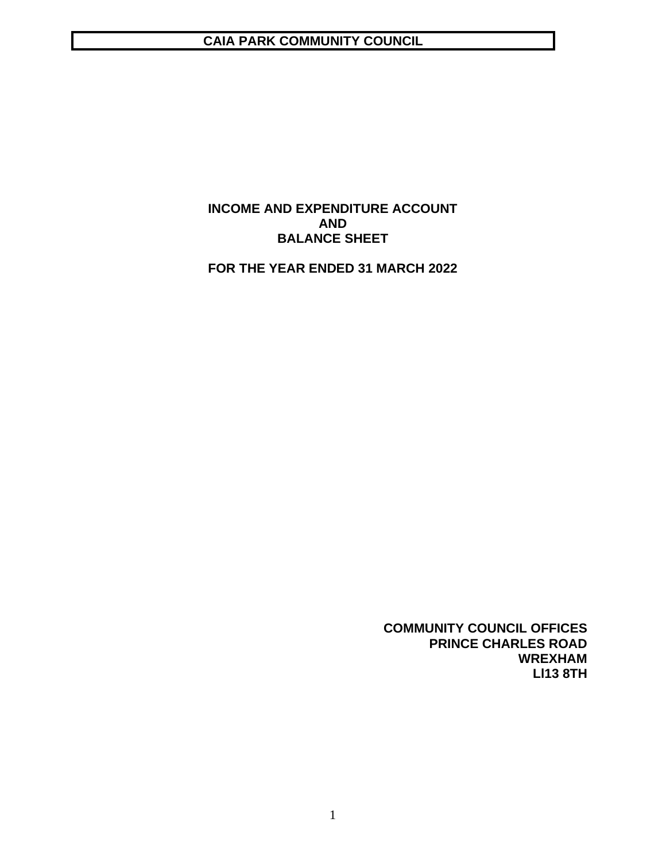# **CAIA PARK COMMUNITY COUNCIL**

# **INCOME AND EXPENDITURE ACCOUNT AND BALANCE SHEET**

**FOR THE YEAR ENDED 31 MARCH 2022**

**COMMUNITY COUNCIL OFFICES PRINCE CHARLES ROAD WREXHAM Ll13 8TH**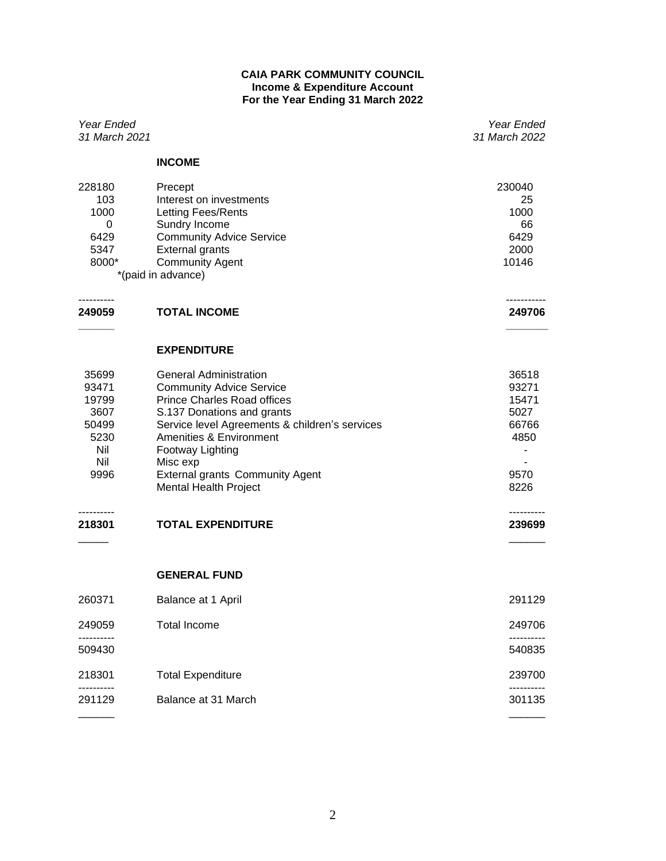## **CAIA PARK COMMUNITY COUNCIL Income & Expenditure Account For the Year Ending 31 March 2022**

| Year Ended<br>31 March 2021                                            |                                                                                                                                                                                                                                                                                                                             | Year Ended<br>31 March 2022                                      |
|------------------------------------------------------------------------|-----------------------------------------------------------------------------------------------------------------------------------------------------------------------------------------------------------------------------------------------------------------------------------------------------------------------------|------------------------------------------------------------------|
|                                                                        | <b>INCOME</b>                                                                                                                                                                                                                                                                                                               |                                                                  |
| 228180<br>103<br>1000<br>0<br>6429<br>5347<br>8000*                    | Precept<br>Interest on investments<br>Letting Fees/Rents<br>Sundry Income<br><b>Community Advice Service</b><br><b>External grants</b><br><b>Community Agent</b><br>*(paid in advance)                                                                                                                                      | 230040<br>25<br>1000<br>66<br>6429<br>2000<br>10146              |
| 249059                                                                 | <b>TOTAL INCOME</b>                                                                                                                                                                                                                                                                                                         | 249706                                                           |
|                                                                        | <b>EXPENDITURE</b>                                                                                                                                                                                                                                                                                                          |                                                                  |
| 35699<br>93471<br>19799<br>3607<br>50499<br>5230<br>Nil<br>Nil<br>9996 | <b>General Administration</b><br><b>Community Advice Service</b><br><b>Prince Charles Road offices</b><br>S.137 Donations and grants<br>Service level Agreements & children's services<br>Amenities & Environment<br>Footway Lighting<br>Misc exp<br><b>External grants Community Agent</b><br><b>Mental Health Project</b> | 36518<br>93271<br>15471<br>5027<br>66766<br>4850<br>9570<br>8226 |
| 218301                                                                 | <b>TOTAL EXPENDITURE</b>                                                                                                                                                                                                                                                                                                    | 239699                                                           |
|                                                                        | <b>GENERAL FUND</b>                                                                                                                                                                                                                                                                                                         |                                                                  |
| 260371                                                                 | Balance at 1 April                                                                                                                                                                                                                                                                                                          | 291129                                                           |
| 249059                                                                 | <b>Total Income</b>                                                                                                                                                                                                                                                                                                         | 249706                                                           |
| 509430                                                                 |                                                                                                                                                                                                                                                                                                                             | 540835                                                           |
| 218301                                                                 | <b>Total Expenditure</b>                                                                                                                                                                                                                                                                                                    | 239700                                                           |
| 291129                                                                 | Balance at 31 March                                                                                                                                                                                                                                                                                                         | 301135                                                           |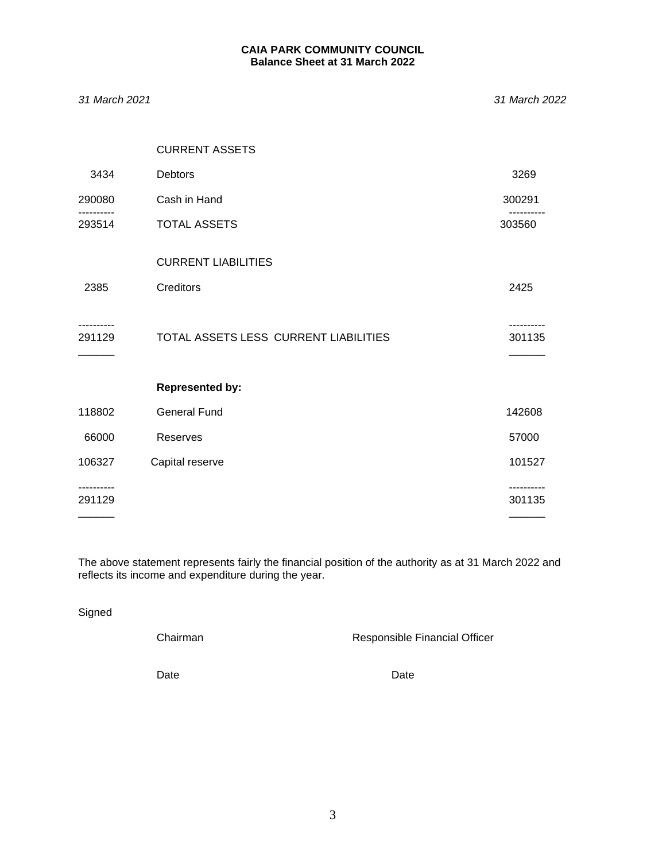## **CAIA PARK COMMUNITY COUNCIL Balance Sheet at 31 March 2022**

*31 March 2021 31 March 2022*

|        | <b>CURRENT ASSETS</b>                 |        |
|--------|---------------------------------------|--------|
| 3434   | Debtors                               | 3269   |
| 290080 | Cash in Hand                          | 300291 |
| 293514 | TOTAL ASSETS                          | 303560 |
|        | <b>CURRENT LIABILITIES</b>            |        |
| 2385   | Creditors                             | 2425   |
| 291129 | TOTAL ASSETS LESS CURRENT LIABILITIES | 301135 |
|        | <b>Represented by:</b>                |        |
| 118802 | <b>General Fund</b>                   | 142608 |
| 66000  | Reserves                              | 57000  |
| 106327 | Capital reserve                       | 101527 |
| 291129 |                                       | 301135 |
|        |                                       |        |

The above statement represents fairly the financial position of the authority as at 31 March 2022 and reflects its income and expenditure during the year.

Signed

Chairman **Chairman** Responsible Financial Officer

Date **Date Date Date Date**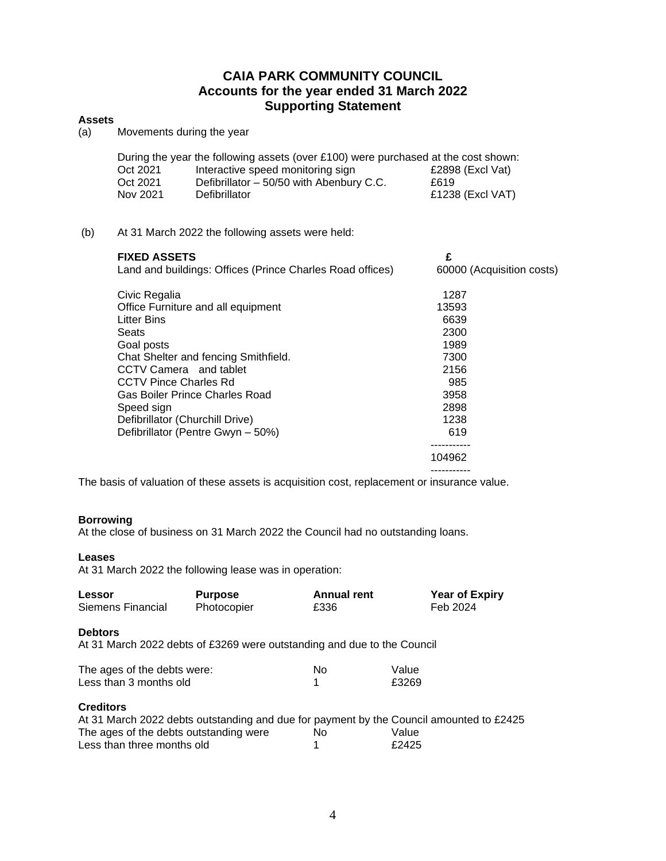# **CAIA PARK COMMUNITY COUNCIL Accounts for the year ended 31 March 2022 Supporting Statement**

## **Assets**

(a) Movements during the year

|          | During the year the following assets (over £100) were purchased at the cost shown: |                  |
|----------|------------------------------------------------------------------------------------|------------------|
| Oct 2021 | Interactive speed monitoring sign                                                  | £2898 (Excl Vat) |
| Oct 2021 | Defibrillator - 50/50 with Abenbury C.C.                                           | £619             |
| Nov 2021 | <b>Defibrillator</b>                                                               | £1238 (Excl VAT) |

### (b) At 31 March 2022 the following assets were held:

| <b>FIXED ASSETS</b>                                       | £                         |
|-----------------------------------------------------------|---------------------------|
| Land and buildings: Offices (Prince Charles Road offices) | 60000 (Acquisition costs) |
| Civic Regalia                                             | 1287                      |
| Office Furniture and all equipment                        | 13593                     |
| Litter Bins                                               | 6639                      |
| Seats                                                     | 2300                      |
| Goal posts                                                | 1989                      |
| Chat Shelter and fencing Smithfield.                      | 7300                      |
| CCTV Camera and tablet                                    | 2156                      |
| <b>CCTV Pince Charles Rd</b>                              | 985                       |
| Gas Boiler Prince Charles Road                            | 3958                      |
| Speed sign                                                | 2898                      |
| Defibrillator (Churchill Drive)                           | 1238                      |
| Defibrillator (Pentre Gwyn - 50%)                         | 619                       |
|                                                           |                           |
|                                                           | 104962                    |
|                                                           |                           |
|                                                           |                           |

The basis of valuation of these assets is acquisition cost, replacement or insurance value.

### **Borrowing**

At the close of business on 31 March 2022 the Council had no outstanding loans.

## **Leases**

At 31 March 2022 the following lease was in operation:

| Lessor                                                                                   | <b>Purpose</b>                                                          | <b>Annual rent</b> | <b>Year of Expiry</b>                                                                                     |
|------------------------------------------------------------------------------------------|-------------------------------------------------------------------------|--------------------|-----------------------------------------------------------------------------------------------------------|
| Siemens Financial                                                                        | Photocopier                                                             | £336               | Feb 2024                                                                                                  |
| <b>Debtors</b>                                                                           | At 31 March 2022 debts of £3269 were outstanding and due to the Council |                    |                                                                                                           |
| The ages of the debts were:                                                              |                                                                         | No                 | Value                                                                                                     |
| Less than 3 months old                                                                   |                                                                         | 1                  | £3269                                                                                                     |
| <b>Creditors</b><br>The ages of the debts outstanding were<br>Less than three months old |                                                                         | No<br>1            | At 31 March 2022 debts outstanding and due for payment by the Council amounted to £2425<br>Value<br>£2425 |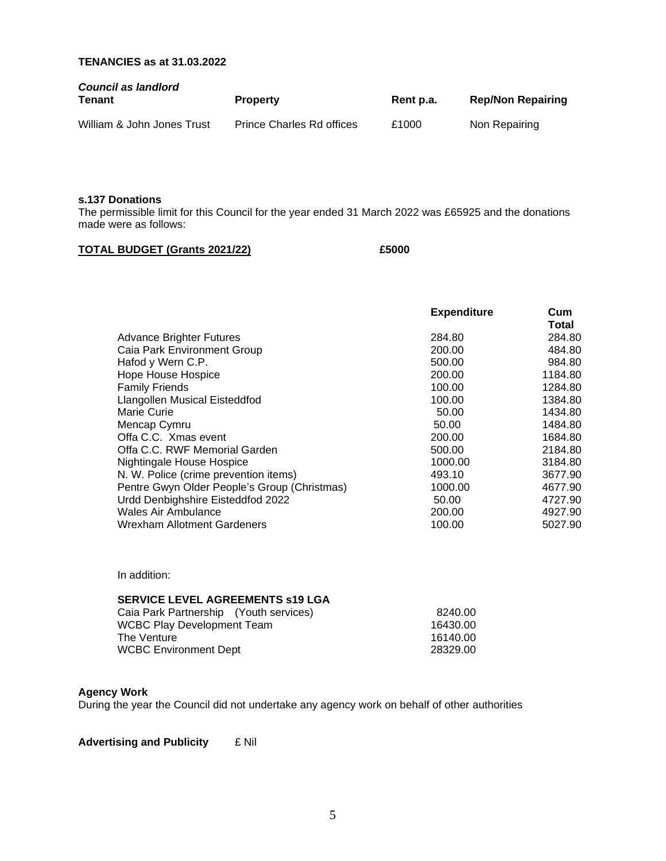# **TENANCIES as at 31.03.2022**

| <b>Council as landlord</b><br>Tenant | <b>Property</b>                  | Rent p.a. | <b>Rep/Non Repairing</b> |
|--------------------------------------|----------------------------------|-----------|--------------------------|
| William & John Jones Trust           | <b>Prince Charles Rd offices</b> | £1000     | Non Repairing            |

#### **s.137 Donations**

The permissible limit for this Council for the year ended 31 March 2022 was £65925 and the donations made were as follows:

### **TOTAL BUDGET (Grants 2021/22) £5000**

|                                              | <b>Expenditure</b> | Cum<br>Total |
|----------------------------------------------|--------------------|--------------|
| <b>Advance Brighter Futures</b>              | 284.80             | 284.80       |
| Caia Park Environment Group                  | 200.00             | 484.80       |
| Hafod y Wern C.P.                            | 500.00             | 984.80       |
| Hope House Hospice                           | 200.00             | 1184.80      |
| <b>Family Friends</b>                        | 100.00             | 1284.80      |
| Llangollen Musical Eisteddfod                | 100.00             | 1384.80      |
| Marie Curie                                  | 50.00              | 1434.80      |
| Mencap Cymru                                 | 50.00              | 1484.80      |
| Offa C.C. Xmas event                         | 200.00             | 1684.80      |
| Offa C.C. RWF Memorial Garden                | 500.00             | 2184.80      |
| Nightingale House Hospice                    | 1000.00            | 3184.80      |
| N. W. Police (crime prevention items)        | 493.10             | 3677.90      |
| Pentre Gwyn Older People's Group (Christmas) | 1000.00            | 4677.90      |
| Urdd Denbighshire Eisteddfod 2022            | 50.00              | 4727.90      |
| Wales Air Ambulance                          | 200.00             | 4927.90      |
| Wrexham Allotment Gardeners                  | 100.00             | 5027.90      |

In addition:

# **SERVICE LEVEL AGREEMENTS s19 LGA**

| Caia Park Partnership (Youth services) | 8240.00  |
|----------------------------------------|----------|
| WCBC Play Development Team             | 16430.00 |
| The Venture_                           | 16140.00 |
| WCBC Environment Dept                  | 28329.00 |
|                                        |          |

### **Agency Work**

During the year the Council did not undertake any agency work on behalf of other authorities

**Advertising and Publicity** £ Nil